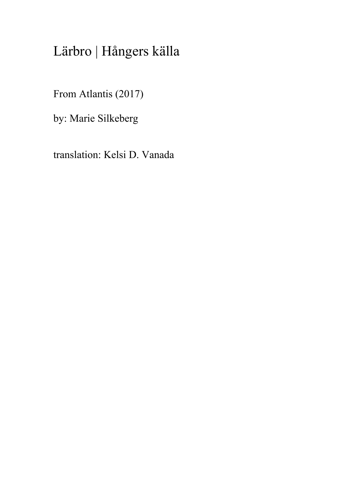## Lärbro | Hångers källa

From Atlantis (2017)

by: Marie Silkeberg

translation: Kelsi D. Vanada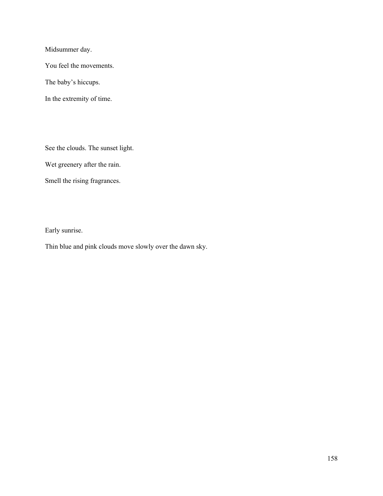Midsummer day.

You feel the movements.

The baby's hiccups.

In the extremity of time.

See the clouds. The sunset light.

Wet greenery after the rain.

Smell the rising fragrances.

Early sunrise.

Thin blue and pink clouds move slowly over the dawn sky.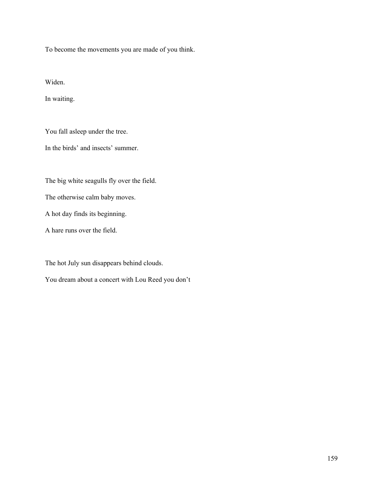To become the movements you are made of you think.

Widen.

In waiting.

You fall asleep under the tree.

In the birds' and insects' summer.

The big white seagulls fly over the field.

The otherwise calm baby moves.

A hot day finds its beginning.

A hare runs over the field.

The hot July sun disappears behind clouds.

You dream about a concert with Lou Reed you don't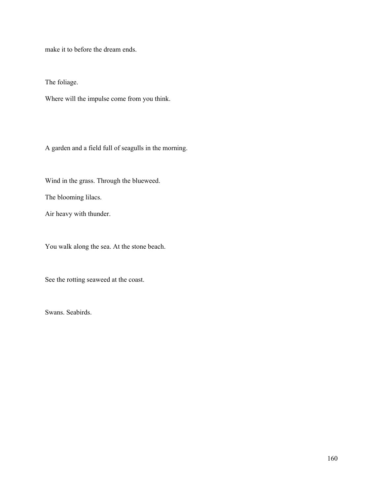make it to before the dream ends.

The foliage.

Where will the impulse come from you think.

A garden and a field full of seagulls in the morning.

Wind in the grass. Through the blueweed.

The blooming lilacs.

Air heavy with thunder.

You walk along the sea. At the stone beach.

See the rotting seaweed at the coast.

Swans. Seabirds.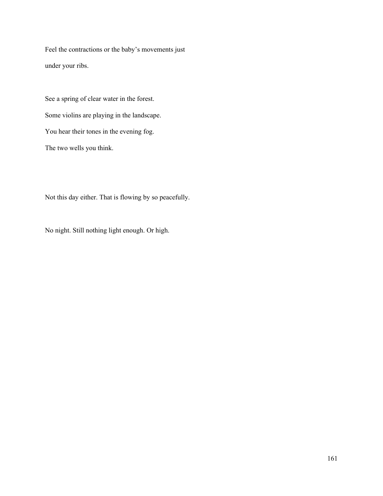Feel the contractions or the baby's movements just under your ribs.

See a spring of clear water in the forest. Some violins are playing in the landscape. You hear their tones in the evening fog. The two wells you think.

Not this day either. That is flowing by so peacefully.

No night. Still nothing light enough. Or high.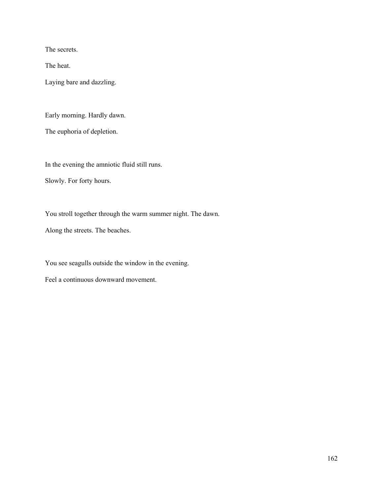The secrets.

The heat.

Laying bare and dazzling.

Early morning. Hardly dawn.

The euphoria of depletion.

In the evening the amniotic fluid still runs.

Slowly. For forty hours.

You stroll together through the warm summer night. The dawn.

Along the streets. The beaches.

You see seagulls outside the window in the evening.

Feel a continuous downward movement.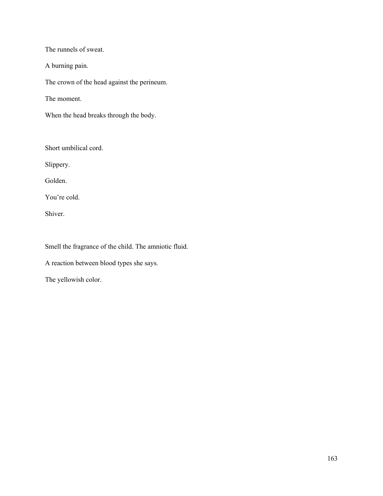The runnels of sweat.

A burning pain.

The crown of the head against the perineum.

The moment.

When the head breaks through the body.

Short umbilical cord.

Slippery.

Golden.

You're cold.

Shiver.

Smell the fragrance of the child. The amniotic fluid.

A reaction between blood types she says.

The yellowish color.